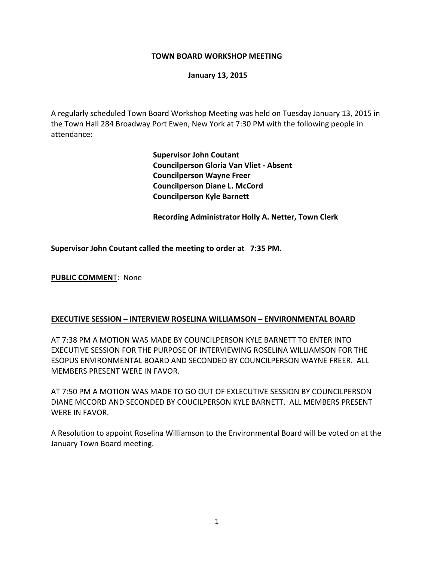### **TOWN BOARD WORKSHOP MEETING**

#### **January 13, 2015**

A regularly scheduled Town Board Workshop Meeting was held on Tuesday January 13, 2015 in the Town Hall 284 Broadway Port Ewen, New York at 7:30 PM with the following people in attendance:

> **Supervisor John Coutant Councilperson Gloria Van Vliet ‐ Absent Councilperson Wayne Freer Councilperson Diane L. McCord Councilperson Kyle Barnett**

 **Recording Administrator Holly A. Netter, Town Clerk**

**Supervisor John Coutant called the meeting to order at 7:35 PM.**

**PUBLIC COMMEN**T: None

### **EXECUTIVE SESSION – INTERVIEW ROSELINA WILLIAMSON – ENVIRONMENTAL BOARD**

AT 7:38 PM A MOTION WAS MADE BY COUNCILPERSON KYLE BARNETT TO ENTER INTO EXECUTIVE SESSION FOR THE PURPOSE OF INTERVIEWING ROSELINA WILLIAMSON FOR THE ESOPUS ENVIRONMENTAL BOARD AND SECONDED BY COUNCILPERSON WAYNE FREER. ALL MEMBERS PRESENT WERE IN FAVOR.

AT 7:50 PM A MOTION WAS MADE TO GO OUT OF EXLECUTIVE SESSION BY COUNCILPERSON DIANE MCCORD AND SECONDED BY COUCILPERSON KYLE BARNETT. ALL MEMBERS PRESENT WERE IN FAVOR.

A Resolution to appoint Roselina Williamson to the Environmental Board will be voted on at the January Town Board meeting.